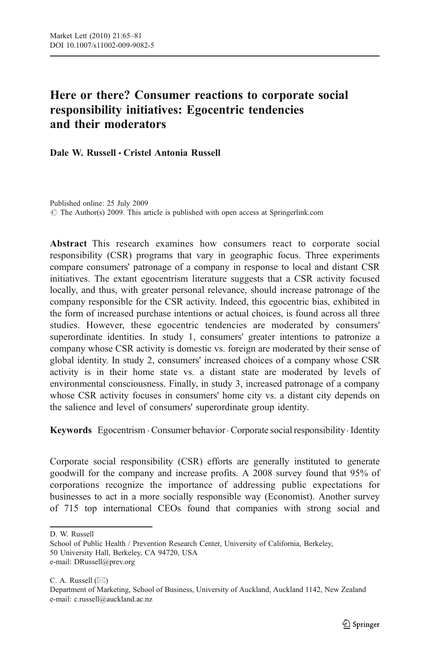# Here or there? Consumer reactions to corporate social responsibility initiatives: Egocentric tendencies and their moderators

Dale W. Russell *&* Cristel Antonia Russell

Published online: 25 July 2009  $\circ$  The Author(s) 2009. This article is published with open access at Springerlink.com

Abstract This research examines how consumers react to corporate social responsibility (CSR) programs that vary in geographic focus. Three experiments compare consumers' patronage of a company in response to local and distant CSR initiatives. The extant egocentrism literature suggests that a CSR activity focused locally, and thus, with greater personal relevance, should increase patronage of the company responsible for the CSR activity. Indeed, this egocentric bias, exhibited in the form of increased purchase intentions or actual choices, is found across all three studies. However, these egocentric tendencies are moderated by consumers' superordinate identities. In study 1, consumers' greater intentions to patronize a company whose CSR activity is domestic vs. foreign are moderated by their sense of global identity. In study 2, consumers' increased choices of a company whose CSR activity is in their home state vs. a distant state are moderated by levels of environmental consciousness. Finally, in study 3, increased patronage of a company whose CSR activity focuses in consumers' home city vs. a distant city depends on the salience and level of consumers' superordinate group identity.

Keywords Egocentrism . Consumer behavior. Corporate social responsibility. Identity

Corporate social responsibility (CSR) efforts are generally instituted to generate goodwill for the company and increase profits. A 2008 survey found that 95% of corporations recognize the importance of addressing public expectations for businesses to act in a more socially responsible way (Economist). Another survey of 715 top international CEOs found that companies with strong social and

D. W. Russell

C. A. Russell  $(\boxtimes)$ 

School of Public Health / Prevention Research Center, University of California, Berkeley, 50 University Hall, Berkeley, CA 94720, USA e-mail: DRussell@prev.org

Department of Marketing, School of Business, University of Auckland, Auckland 1142, New Zealand e-mail: c.russell@auckland.ac.nz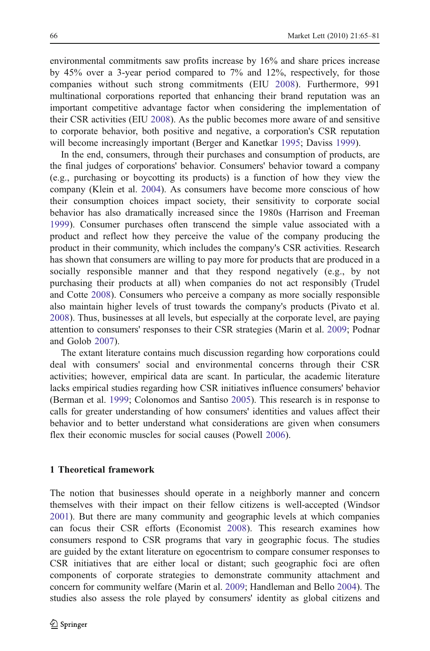environmental commitments saw profits increase by 16% and share prices increase by 45% over a 3-year period compared to 7% and 12%, respectively, for those companies without such strong commitments (EIU [2008\)](#page-15-0). Furthermore, 991 multinational corporations reported that enhancing their brand reputation was an important competitive advantage factor when considering the implementation of their CSR activities (EIU [2008](#page-15-0)). As the public becomes more aware of and sensitive to corporate behavior, both positive and negative, a corporation's CSR reputation will become increasingly important (Berger and Kanetkar [1995](#page-15-0); Daviss [1999](#page-15-0)).

In the end, consumers, through their purchases and consumption of products, are the final judges of corporations' behavior. Consumers' behavior toward a company (e.g., purchasing or boycotting its products) is a function of how they view the company (Klein et al. [2004](#page-16-0)). As consumers have become more conscious of how their consumption choices impact society, their sensitivity to corporate social behavior has also dramatically increased since the 1980s (Harrison and Freeman [1999\)](#page-15-0). Consumer purchases often transcend the simple value associated with a product and reflect how they perceive the value of the company producing the product in their community, which includes the company's CSR activities. Research has shown that consumers are willing to pay more for products that are produced in a socially responsible manner and that they respond negatively (e.g., by not purchasing their products at all) when companies do not act responsibly (Trudel and Cotte [2008](#page-16-0)). Consumers who perceive a company as more socially responsible also maintain higher levels of trust towards the company's products (Pivato et al. [2008\)](#page-16-0). Thus, businesses at all levels, but especially at the corporate level, are paying attention to consumers' responses to their CSR strategies (Marin et al. [2009;](#page-16-0) Podnar and Golob [2007\)](#page-16-0).

The extant literature contains much discussion regarding how corporations could deal with consumers' social and environmental concerns through their CSR activities; however, empirical data are scant. In particular, the academic literature lacks empirical studies regarding how CSR initiatives influence consumers' behavior (Berman et al. [1999;](#page-15-0) Colonomos and Santiso [2005\)](#page-15-0). This research is in response to calls for greater understanding of how consumers' identities and values affect their behavior and to better understand what considerations are given when consumers flex their economic muscles for social causes (Powell [2006\)](#page-16-0).

### 1 Theoretical framework

The notion that businesses should operate in a neighborly manner and concern themselves with their impact on their fellow citizens is well-accepted (Windsor [2001\)](#page-16-0). But there are many community and geographic levels at which companies can focus their CSR efforts (Economist [2008](#page-15-0)). This research examines how consumers respond to CSR programs that vary in geographic focus. The studies are guided by the extant literature on egocentrism to compare consumer responses to CSR initiatives that are either local or distant; such geographic foci are often components of corporate strategies to demonstrate community attachment and concern for community welfare (Marin et al. [2009](#page-16-0); Handleman and Bello [2004\)](#page-15-0). The studies also assess the role played by consumers' identity as global citizens and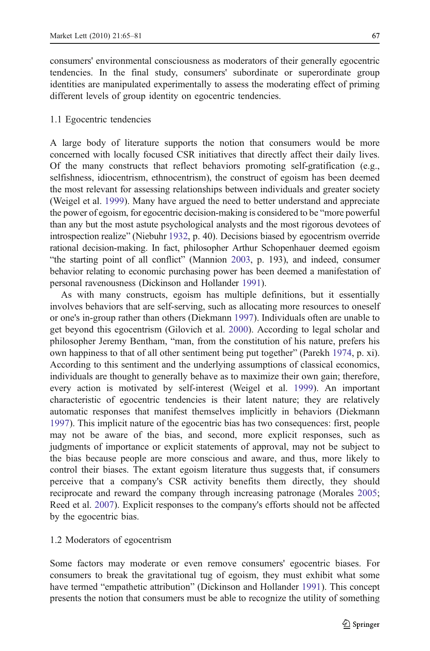consumers' environmental consciousness as moderators of their generally egocentric tendencies. In the final study, consumers' subordinate or superordinate group identities are manipulated experimentally to assess the moderating effect of priming different levels of group identity on egocentric tendencies.

### 1.1 Egocentric tendencies

A large body of literature supports the notion that consumers would be more concerned with locally focused CSR initiatives that directly affect their daily lives. Of the many constructs that reflect behaviors promoting self-gratification (e.g., selfishness, idiocentrism, ethnocentrism), the construct of egoism has been deemed the most relevant for assessing relationships between individuals and greater society (Weigel et al. [1999\)](#page-16-0). Many have argued the need to better understand and appreciate the power of egoism, for egocentric decision-making is considered to be "more powerful than any but the most astute psychological analysts and the most rigorous devotees of introspection realize" (Niebuhr [1932,](#page-16-0) p. 40). Decisions biased by egocentrism override rational decision-making. In fact, philosopher Arthur Schopenhauer deemed egoism "the starting point of all conflict" (Mannion [2003,](#page-16-0) p. 193), and indeed, consumer behavior relating to economic purchasing power has been deemed a manifestation of personal ravenousness (Dickinson and Hollander [1991\)](#page-15-0).

As with many constructs, egoism has multiple definitions, but it essentially involves behaviors that are self-serving, such as allocating more resources to oneself or one's in-group rather than others (Diekmann [1997](#page-15-0)). Individuals often are unable to get beyond this egocentrism (Gilovich et al. [2000\)](#page-15-0). According to legal scholar and philosopher Jeremy Bentham, "man, from the constitution of his nature, prefers his own happiness to that of all other sentiment being put together" (Parekh [1974,](#page-16-0) p. xi). According to this sentiment and the underlying assumptions of classical economics, individuals are thought to generally behave as to maximize their own gain; therefore, every action is motivated by self-interest (Weigel et al. [1999](#page-16-0)). An important characteristic of egocentric tendencies is their latent nature; they are relatively automatic responses that manifest themselves implicitly in behaviors (Diekmann [1997\)](#page-15-0). This implicit nature of the egocentric bias has two consequences: first, people may not be aware of the bias, and second, more explicit responses, such as judgments of importance or explicit statements of approval, may not be subject to the bias because people are more conscious and aware, and thus, more likely to control their biases. The extant egoism literature thus suggests that, if consumers perceive that a company's CSR activity benefits them directly, they should reciprocate and reward the company through increasing patronage (Morales [2005;](#page-16-0) Reed et al. [2007\)](#page-16-0). Explicit responses to the company's efforts should not be affected by the egocentric bias.

### 1.2 Moderators of egocentrism

Some factors may moderate or even remove consumers' egocentric biases. For consumers to break the gravitational tug of egoism, they must exhibit what some have termed "empathetic attribution" (Dickinson and Hollander [1991](#page-15-0)). This concept presents the notion that consumers must be able to recognize the utility of something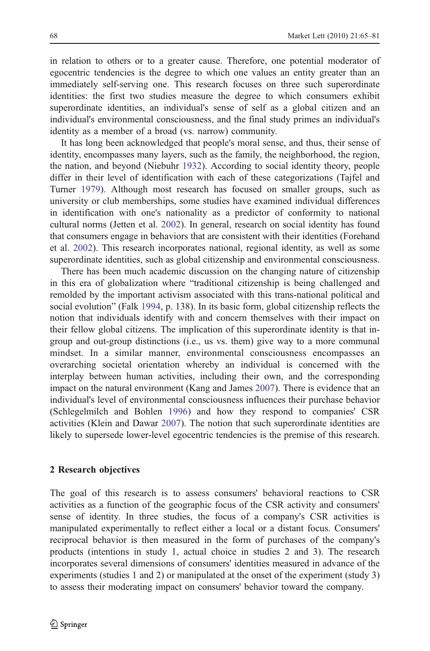in relation to others or to a greater cause. Therefore, one potential moderator of egocentric tendencies is the degree to which one values an entity greater than an immediately self-serving one. This research focuses on three such superordinate identities: the first two studies measure the degree to which consumers exhibit superordinate identities, an individual's sense of self as a global citizen and an individual's environmental consciousness, and the final study primes an individual's identity as a member of a broad (vs. narrow) community.

It has long been acknowledged that people's moral sense, and thus, their sense of identity, encompasses many layers, such as the family, the neighborhood, the region, the nation, and beyond (Niebuhr [1932](#page-16-0)). According to social identity theory, people differ in their level of identification with each of these categorizations (Tajfel and Turner [1979\)](#page-16-0). Although most research has focused on smaller groups, such as university or club memberships, some studies have examined individual differences in identification with one's nationality as a predictor of conformity to national cultural norms (Jetten et al. [2002\)](#page-16-0). In general, research on social identity has found that consumers engage in behaviors that are consistent with their identities (Forehand et al. [2002\)](#page-15-0). This research incorporates national, regional identity, as well as some superordinate identities, such as global citizenship and environmental consciousness.

There has been much academic discussion on the changing nature of citizenship in this era of globalization where "traditional citizenship is being challenged and remolded by the important activism associated with this trans-national political and social evolution" (Falk [1994](#page-15-0), p. 138). In its basic form, global citizenship reflects the notion that individuals identify with and concern themselves with their impact on their fellow global citizens. The implication of this superordinate identity is that ingroup and out-group distinctions (i.e., us vs. them) give way to a more communal mindset. In a similar manner, environmental consciousness encompasses an overarching societal orientation whereby an individual is concerned with the interplay between human activities, including their own, and the corresponding impact on the natural environment (Kang and James [2007\)](#page-16-0). There is evidence that an individual's level of environmental consciousness influences their purchase behavior (Schlegelmilch and Bohlen [1996\)](#page-16-0) and how they respond to companies' CSR activities (Klein and Dawar [2007\)](#page-16-0). The notion that such superordinate identities are likely to supersede lower-level egocentric tendencies is the premise of this research.

### 2 Research objectives

The goal of this research is to assess consumers' behavioral reactions to CSR activities as a function of the geographic focus of the CSR activity and consumers' sense of identity. In three studies, the focus of a company's CSR activities is manipulated experimentally to reflect either a local or a distant focus. Consumers' reciprocal behavior is then measured in the form of purchases of the company's products (intentions in study 1, actual choice in studies 2 and 3). The research incorporates several dimensions of consumers' identities measured in advance of the experiments (studies 1 and 2) or manipulated at the onset of the experiment (study 3) to assess their moderating impact on consumers' behavior toward the company.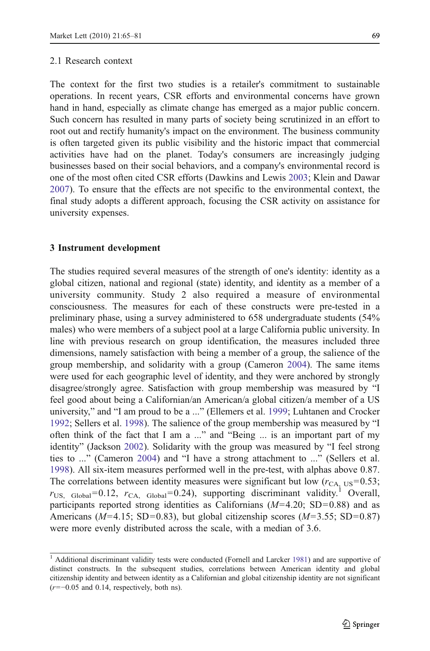#### 2.1 Research context

The context for the first two studies is a retailer's commitment to sustainable operations. In recent years, CSR efforts and environmental concerns have grown hand in hand, especially as climate change has emerged as a major public concern. Such concern has resulted in many parts of society being scrutinized in an effort to root out and rectify humanity's impact on the environment. The business community is often targeted given its public visibility and the historic impact that commercial activities have had on the planet. Today's consumers are increasingly judging businesses based on their social behaviors, and a company's environmental record is one of the most often cited CSR efforts (Dawkins and Lewis [2003;](#page-15-0) Klein and Dawar [2007\)](#page-16-0). To ensure that the effects are not specific to the environmental context, the final study adopts a different approach, focusing the CSR activity on assistance for university expenses.

### 3 Instrument development

The studies required several measures of the strength of one's identity: identity as a global citizen, national and regional (state) identity, and identity as a member of a university community. Study 2 also required a measure of environmental consciousness. The measures for each of these constructs were pre-tested in a preliminary phase, using a survey administered to 658 undergraduate students (54% males) who were members of a subject pool at a large California public university. In line with previous research on group identification, the measures included three dimensions, namely satisfaction with being a member of a group, the salience of the group membership, and solidarity with a group (Cameron [2004\)](#page-15-0). The same items were used for each geographic level of identity, and they were anchored by strongly disagree/strongly agree. Satisfaction with group membership was measured by "I feel good about being a Californian/an American/a global citizen/a member of a US university," and "I am proud to be a ..." (Ellemers et al. [1999](#page-15-0); Luhtanen and Crocker [1992;](#page-16-0) Sellers et al. [1998](#page-16-0)). The salience of the group membership was measured by "I often think of the fact that I am a ..." and "Being ... is an important part of my identity" (Jackson [2002\)](#page-16-0). Solidarity with the group was measured by "I feel strong ties to ..." (Cameron [2004](#page-15-0)) and "I have a strong attachment to ..." (Sellers et al. [1998\)](#page-16-0). All six-item measures performed well in the pre-test, with alphas above 0.87. The correlations between identity measures were significant but low  $(r_{CA, US} = 0.53;$  $r_{\text{US}}$ , Global<sup>=0.12</sup>,  $r_{\text{CA}}$ , Global<sup>=0.24</sup>), supporting discriminant validity.<sup>1</sup> Overall, participants reported strong identities as Californians ( $M=4.20$ ; SD=0.88) and as Americans ( $M=4.15$ ; SD=0.83), but global citizenship scores ( $M=3.55$ ; SD=0.87) were more evenly distributed across the scale, with a median of 3.6.

<sup>&</sup>lt;sup>1</sup> Additional discriminant validity tests were conducted (Fornell and Larcker [1981\)](#page-15-0) and are supportive of distinct constructs. In the subsequent studies, correlations between American identity and global citizenship identity and between identity as a Californian and global citizenship identity are not significant  $(r=-0.05$  and 0.14, respectively, both ns).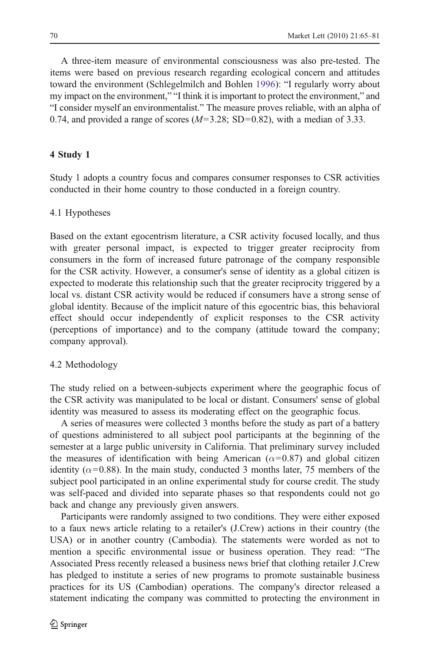A three-item measure of environmental consciousness was also pre-tested. The items were based on previous research regarding ecological concern and attitudes toward the environment (Schlegelmilch and Bohlen [1996](#page-16-0)): "I regularly worry about my impact on the environment," "I think it is important to protect the environment," and "I consider myself an environmentalist." The measure proves reliable, with an alpha of 0.74, and provided a range of scores  $(M=3.28; SD=0.82)$ , with a median of 3.33.

## 4 Study 1

Study 1 adopts a country focus and compares consumer responses to CSR activities conducted in their home country to those conducted in a foreign country.

### 4.1 Hypotheses

Based on the extant egocentrism literature, a CSR activity focused locally, and thus with greater personal impact, is expected to trigger greater reciprocity from consumers in the form of increased future patronage of the company responsible for the CSR activity. However, a consumer's sense of identity as a global citizen is expected to moderate this relationship such that the greater reciprocity triggered by a local vs. distant CSR activity would be reduced if consumers have a strong sense of global identity. Because of the implicit nature of this egocentric bias, this behavioral effect should occur independently of explicit responses to the CSR activity (perceptions of importance) and to the company (attitude toward the company; company approval).

### 4.2 Methodology

The study relied on a between-subjects experiment where the geographic focus of the CSR activity was manipulated to be local or distant. Consumers' sense of global identity was measured to assess its moderating effect on the geographic focus.

A series of measures were collected 3 months before the study as part of a battery of questions administered to all subject pool participants at the beginning of the semester at a large public university in California. That preliminary survey included the measures of identification with being American ( $\alpha$ =0.87) and global citizen identity ( $\alpha$ =0.88). In the main study, conducted 3 months later, 75 members of the subject pool participated in an online experimental study for course credit. The study was self-paced and divided into separate phases so that respondents could not go back and change any previously given answers.

Participants were randomly assigned to two conditions. They were either exposed to a faux news article relating to a retailer's (J.Crew) actions in their country (the USA) or in another country (Cambodia). The statements were worded as not to mention a specific environmental issue or business operation. They read: "The Associated Press recently released a business news brief that clothing retailer J.Crew has pledged to institute a series of new programs to promote sustainable business practices for its US (Cambodian) operations. The company's director released a statement indicating the company was committed to protecting the environment in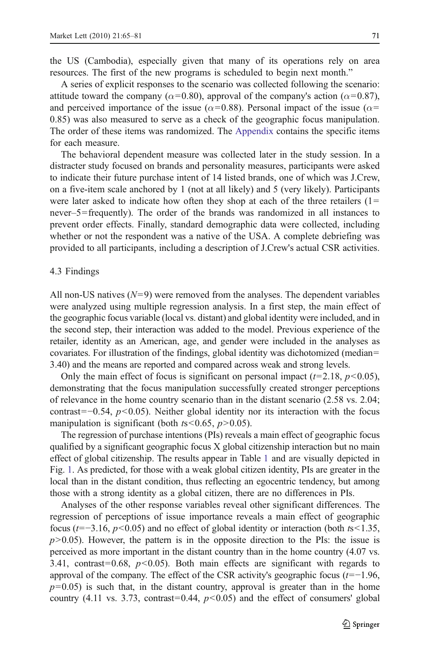the US (Cambodia), especially given that many of its operations rely on area resources. The first of the new programs is scheduled to begin next month."

A series of explicit responses to the scenario was collected following the scenario: attitude toward the company ( $\alpha$ =0.80), approval of the company's action ( $\alpha$ =0.87), and perceived importance of the issue ( $\alpha$ =0.88). Personal impact of the issue ( $\alpha$ = 0.85) was also measured to serve as a check of the geographic focus manipulation. The order of these items was randomized. The [Appendix](#page-14-0) contains the specific items for each measure.

The behavioral dependent measure was collected later in the study session. In a distracter study focused on brands and personality measures, participants were asked to indicate their future purchase intent of 14 listed brands, one of which was J.Crew, on a five-item scale anchored by 1 (not at all likely) and 5 (very likely). Participants were later asked to indicate how often they shop at each of the three retailers  $(1=$ never–5= frequently). The order of the brands was randomized in all instances to prevent order effects. Finally, standard demographic data were collected, including whether or not the respondent was a native of the USA. A complete debriefing was provided to all participants, including a description of J.Crew's actual CSR activities.

### 4.3 Findings

All non-US natives  $(N=9)$  were removed from the analyses. The dependent variables were analyzed using multiple regression analysis. In a first step, the main effect of the geographic focus variable (local vs. distant) and global identity were included, and in the second step, their interaction was added to the model. Previous experience of the retailer, identity as an American, age, and gender were included in the analyses as covariates. For illustration of the findings, global identity was dichotomized (median= 3.40) and the means are reported and compared across weak and strong levels.

Only the main effect of focus is significant on personal impact ( $t=2.18$ ,  $p<0.05$ ), demonstrating that the focus manipulation successfully created stronger perceptions of relevance in the home country scenario than in the distant scenario (2.58 vs. 2.04; contrast=−0.54,  $p$ <0.05). Neither global identity nor its interaction with the focus manipulation is significant (both  $ts < 0.65$ ,  $p > 0.05$ ).

The regression of purchase intentions (PIs) reveals a main effect of geographic focus qualified by a significant geographic focus X global citizenship interaction but no main effect of global citizenship. The results appear in Table [1](#page-7-0) and are visually depicted in Fig. [1.](#page-8-0) As predicted, for those with a weak global citizen identity, PIs are greater in the local than in the distant condition, thus reflecting an egocentric tendency, but among those with a strong identity as a global citizen, there are no differences in PIs.

Analyses of the other response variables reveal other significant differences. The regression of perceptions of issue importance reveals a main effect of geographic focus ( $t=-3.16$ ,  $p<0.05$ ) and no effect of global identity or interaction (both  $ts<1.35$ ,  $p$ >0.05). However, the pattern is in the opposite direction to the PIs: the issue is perceived as more important in the distant country than in the home country (4.07 vs. 3.41, contrast=0.68,  $p<0.05$ ). Both main effects are significant with regards to approval of the company. The effect of the CSR activity's geographic focus  $(t=-1.96,$  $p=0.05$ ) is such that, in the distant country, approval is greater than in the home country (4.11 vs. 3.73, contrast=0.44,  $p<0.05$ ) and the effect of consumers' global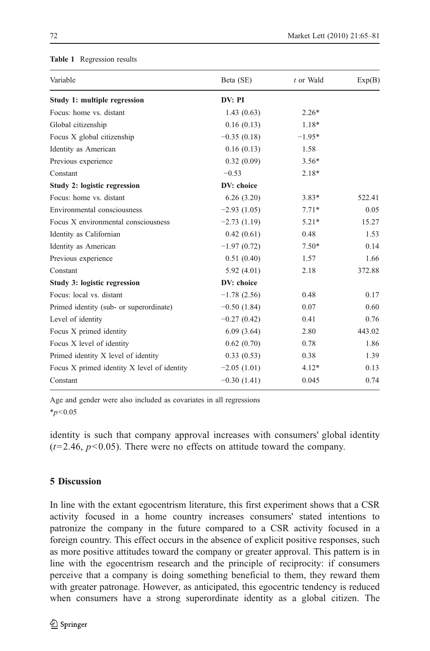#### <span id="page-7-0"></span>Table 1 Regression results

| Variable                                    | Beta (SE)     | t or Wald | Exp(B) |
|---------------------------------------------|---------------|-----------|--------|
| Study 1: multiple regression                | DV: PI        |           |        |
| Focus: home vs. distant                     | 1.43(0.63)    | $2.26*$   |        |
| Global citizenship                          | 0.16(0.13)    | $1.18*$   |        |
| Focus X global citizenship                  | $-0.35(0.18)$ | $-1.95*$  |        |
| Identity as American                        | 0.16(0.13)    | 1.58      |        |
| Previous experience                         | 0.32(0.09)    | $3.56*$   |        |
| Constant                                    | $-0.53$       | $2.18*$   |        |
| Study 2: logistic regression                | DV: choice    |           |        |
| Focus: home vs. distant                     | 6.26(3.20)    | $3.83*$   | 522.41 |
| Environmental consciousness                 | $-2.93(1.05)$ | $7.71*$   | 0.05   |
| Focus X environmental consciousness         | $-2.73(1.19)$ | $5.21*$   | 15.27  |
| Identity as Californian                     | 0.42(0.61)    | 0.48      | 1.53   |
| Identity as American                        | $-1.97(0.72)$ | $7.50*$   | 0.14   |
| Previous experience                         | 0.51(0.40)    | 1.57      | 1.66   |
| Constant                                    | 5.92(4.01)    | 2.18      | 372.88 |
| Study 3: logistic regression                | DV: choice    |           |        |
| Focus: local vs. distant                    | $-1.78(2.56)$ | 0.48      | 0.17   |
| Primed identity (sub- or superordinate)     | $-0.50(1.84)$ | 0.07      | 0.60   |
| Level of identity                           | $-0.27(0.42)$ | 0.41      | 0.76   |
| Focus X primed identity                     | 6.09(3.64)    | 2.80      | 443.02 |
| Focus X level of identity                   | 0.62(0.70)    | 0.78      | 1.86   |
| Primed identity X level of identity         | 0.33(0.53)    | 0.38      | 1.39   |
| Focus X primed identity X level of identity | $-2.05(1.01)$ | $4.12*$   | 0.13   |
| Constant                                    | $-0.30(1.41)$ | 0.045     | 0.74   |

Age and gender were also included as covariates in all regressions  $*_{p<0.05}$ 

identity is such that company approval increases with consumers' global identity  $(t=2.46, p<0.05)$ . There were no effects on attitude toward the company.

### 5 Discussion

In line with the extant egocentrism literature, this first experiment shows that a CSR activity focused in a home country increases consumers' stated intentions to patronize the company in the future compared to a CSR activity focused in a foreign country. This effect occurs in the absence of explicit positive responses, such as more positive attitudes toward the company or greater approval. This pattern is in line with the egocentrism research and the principle of reciprocity: if consumers perceive that a company is doing something beneficial to them, they reward them with greater patronage. However, as anticipated, this egocentric tendency is reduced when consumers have a strong superordinate identity as a global citizen. The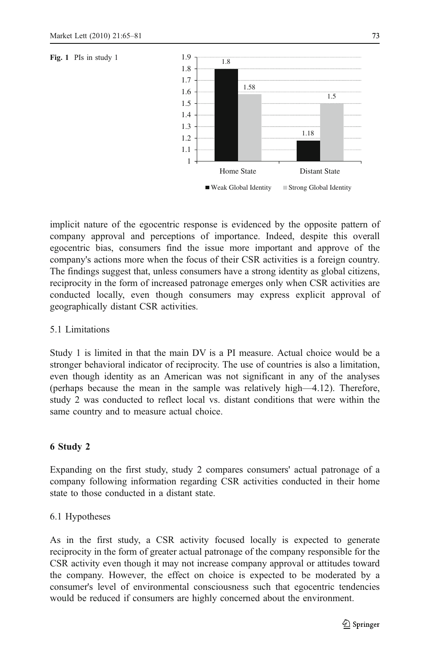<span id="page-8-0"></span>

implicit nature of the egocentric response is evidenced by the opposite pattern of company approval and perceptions of importance. Indeed, despite this overall egocentric bias, consumers find the issue more important and approve of the company's actions more when the focus of their CSR activities is a foreign country. The findings suggest that, unless consumers have a strong identity as global citizens, reciprocity in the form of increased patronage emerges only when CSR activities are conducted locally, even though consumers may express explicit approval of geographically distant CSR activities.

 $\blacksquare$  Weak Global Identity  $\blacksquare$  Strong Global Identity

# 5.1 Limitations

Study 1 is limited in that the main DV is a PI measure. Actual choice would be a stronger behavioral indicator of reciprocity. The use of countries is also a limitation, even though identity as an American was not significant in any of the analyses (perhaps because the mean in the sample was relatively high—4.12). Therefore, study 2 was conducted to reflect local vs. distant conditions that were within the same country and to measure actual choice.

# 6 Study 2

Expanding on the first study, study 2 compares consumers' actual patronage of a company following information regarding CSR activities conducted in their home state to those conducted in a distant state.

# 6.1 Hypotheses

As in the first study, a CSR activity focused locally is expected to generate reciprocity in the form of greater actual patronage of the company responsible for the CSR activity even though it may not increase company approval or attitudes toward the company. However, the effect on choice is expected to be moderated by a consumer's level of environmental consciousness such that egocentric tendencies would be reduced if consumers are highly concerned about the environment.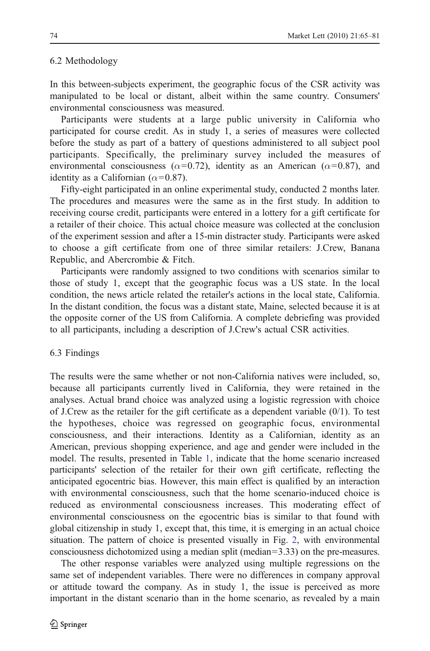### 6.2 Methodology

In this between-subjects experiment, the geographic focus of the CSR activity was manipulated to be local or distant, albeit within the same country. Consumers' environmental consciousness was measured.

Participants were students at a large public university in California who participated for course credit. As in study 1, a series of measures were collected before the study as part of a battery of questions administered to all subject pool participants. Specifically, the preliminary survey included the measures of environmental consciousness ( $\alpha$ =0.72), identity as an American ( $\alpha$ =0.87), and identity as a Californian ( $\alpha$ =0.87).

Fifty-eight participated in an online experimental study, conducted 2 months later. The procedures and measures were the same as in the first study. In addition to receiving course credit, participants were entered in a lottery for a gift certificate for a retailer of their choice. This actual choice measure was collected at the conclusion of the experiment session and after a 15-min distracter study. Participants were asked to choose a gift certificate from one of three similar retailers: J.Crew, Banana Republic, and Abercrombie & Fitch.

Participants were randomly assigned to two conditions with scenarios similar to those of study 1, except that the geographic focus was a US state. In the local condition, the news article related the retailer's actions in the local state, California. In the distant condition, the focus was a distant state, Maine, selected because it is at the opposite corner of the US from California. A complete debriefing was provided to all participants, including a description of J.Crew's actual CSR activities.

### 6.3 Findings

The results were the same whether or not non-California natives were included, so, because all participants currently lived in California, they were retained in the analyses. Actual brand choice was analyzed using a logistic regression with choice of J.Crew as the retailer for the gift certificate as a dependent variable (0/1). To test the hypotheses, choice was regressed on geographic focus, environmental consciousness, and their interactions. Identity as a Californian, identity as an American, previous shopping experience, and age and gender were included in the model. The results, presented in Table [1,](#page-7-0) indicate that the home scenario increased participants' selection of the retailer for their own gift certificate, reflecting the anticipated egocentric bias. However, this main effect is qualified by an interaction with environmental consciousness, such that the home scenario-induced choice is reduced as environmental consciousness increases. This moderating effect of environmental consciousness on the egocentric bias is similar to that found with global citizenship in study 1, except that, this time, it is emerging in an actual choice situation. The pattern of choice is presented visually in Fig. [2,](#page-10-0) with environmental consciousness dichotomized using a median split (median=3.33) on the pre-measures.

The other response variables were analyzed using multiple regressions on the same set of independent variables. There were no differences in company approval or attitude toward the company. As in study 1, the issue is perceived as more important in the distant scenario than in the home scenario, as revealed by a main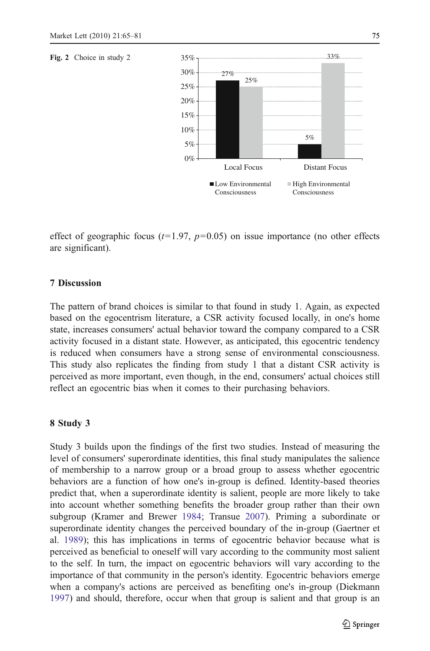<span id="page-10-0"></span>

effect of geographic focus ( $t=1.97$ ,  $p=0.05$ ) on issue importance (no other effects are significant).

### 7 Discussion

The pattern of brand choices is similar to that found in study 1. Again, as expected based on the egocentrism literature, a CSR activity focused locally, in one's home state, increases consumers' actual behavior toward the company compared to a CSR activity focused in a distant state. However, as anticipated, this egocentric tendency is reduced when consumers have a strong sense of environmental consciousness. This study also replicates the finding from study 1 that a distant CSR activity is perceived as more important, even though, in the end, consumers' actual choices still reflect an egocentric bias when it comes to their purchasing behaviors.

### 8 Study 3

Study 3 builds upon the findings of the first two studies. Instead of measuring the level of consumers' superordinate identities, this final study manipulates the salience of membership to a narrow group or a broad group to assess whether egocentric behaviors are a function of how one's in-group is defined. Identity-based theories predict that, when a superordinate identity is salient, people are more likely to take into account whether something benefits the broader group rather than their own subgroup (Kramer and Brewer [1984;](#page-16-0) Transue [2007\)](#page-16-0). Priming a subordinate or superordinate identity changes the perceived boundary of the in-group (Gaertner et al. [1989](#page-15-0)); this has implications in terms of egocentric behavior because what is perceived as beneficial to oneself will vary according to the community most salient to the self. In turn, the impact on egocentric behaviors will vary according to the importance of that community in the person's identity. Egocentric behaviors emerge when a company's actions are perceived as benefiting one's in-group (Diekmann [1997\)](#page-15-0) and should, therefore, occur when that group is salient and that group is an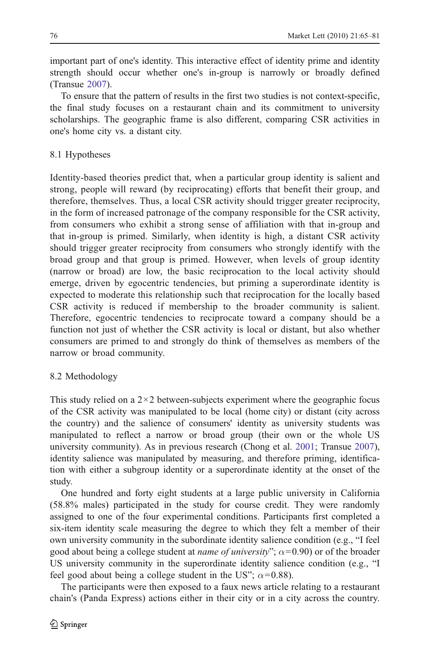important part of one's identity. This interactive effect of identity prime and identity strength should occur whether one's in-group is narrowly or broadly defined (Transue [2007](#page-16-0)).

To ensure that the pattern of results in the first two studies is not context-specific, the final study focuses on a restaurant chain and its commitment to university scholarships. The geographic frame is also different, comparing CSR activities in one's home city vs. a distant city.

### 8.1 Hypotheses

Identity-based theories predict that, when a particular group identity is salient and strong, people will reward (by reciprocating) efforts that benefit their group, and therefore, themselves. Thus, a local CSR activity should trigger greater reciprocity, in the form of increased patronage of the company responsible for the CSR activity, from consumers who exhibit a strong sense of affiliation with that in-group and that in-group is primed. Similarly, when identity is high, a distant CSR activity should trigger greater reciprocity from consumers who strongly identify with the broad group and that group is primed. However, when levels of group identity (narrow or broad) are low, the basic reciprocation to the local activity should emerge, driven by egocentric tendencies, but priming a superordinate identity is expected to moderate this relationship such that reciprocation for the locally based CSR activity is reduced if membership to the broader community is salient. Therefore, egocentric tendencies to reciprocate toward a company should be a function not just of whether the CSR activity is local or distant, but also whether consumers are primed to and strongly do think of themselves as members of the narrow or broad community.

#### 8.2 Methodology

This study relied on a  $2 \times 2$  between-subjects experiment where the geographic focus of the CSR activity was manipulated to be local (home city) or distant (city across the country) and the salience of consumers' identity as university students was manipulated to reflect a narrow or broad group (their own or the whole US university community). As in previous research (Chong et al. [2001](#page-15-0); Transue [2007\)](#page-16-0), identity salience was manipulated by measuring, and therefore priming, identification with either a subgroup identity or a superordinate identity at the onset of the study.

One hundred and forty eight students at a large public university in California (58.8% males) participated in the study for course credit. They were randomly assigned to one of the four experimental conditions. Participants first completed a six-item identity scale measuring the degree to which they felt a member of their own university community in the subordinate identity salience condition (e.g., "I feel good about being a college student at *name of university*";  $\alpha$ =0.90) or of the broader US university community in the superordinate identity salience condition (e.g., "I feel good about being a college student in the US";  $\alpha$ =0.88).

The participants were then exposed to a faux news article relating to a restaurant chain's (Panda Express) actions either in their city or in a city across the country.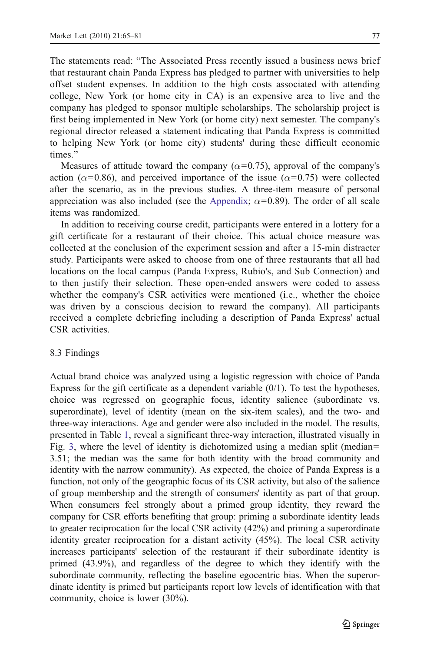The statements read: "The Associated Press recently issued a business news brief that restaurant chain Panda Express has pledged to partner with universities to help offset student expenses. In addition to the high costs associated with attending college, New York (or home city in CA) is an expensive area to live and the company has pledged to sponsor multiple scholarships. The scholarship project is first being implemented in New York (or home city) next semester. The company's regional director released a statement indicating that Panda Express is committed to helping New York (or home city) students' during these difficult economic times<sup>"</sup>

Measures of attitude toward the company ( $\alpha$ =0.75), approval of the company's action ( $\alpha$ =0.86), and perceived importance of the issue ( $\alpha$ =0.75) were collected after the scenario, as in the previous studies. A three-item measure of personal appreciation was also included (see the [Appendix;](#page-14-0)  $\alpha$ =0.89). The order of all scale items was randomized.

In addition to receiving course credit, participants were entered in a lottery for a gift certificate for a restaurant of their choice. This actual choice measure was collected at the conclusion of the experiment session and after a 15-min distracter study. Participants were asked to choose from one of three restaurants that all had locations on the local campus (Panda Express, Rubio's, and Sub Connection) and to then justify their selection. These open-ended answers were coded to assess whether the company's CSR activities were mentioned (i.e., whether the choice was driven by a conscious decision to reward the company). All participants received a complete debriefing including a description of Panda Express' actual CSR activities.

### 8.3 Findings

Actual brand choice was analyzed using a logistic regression with choice of Panda Express for the gift certificate as a dependent variable  $(0/1)$ . To test the hypotheses, choice was regressed on geographic focus, identity salience (subordinate vs. superordinate), level of identity (mean on the six-item scales), and the two- and three-way interactions. Age and gender were also included in the model. The results, presented in Table [1,](#page-7-0) reveal a significant three-way interaction, illustrated visually in Fig. [3](#page-13-0), where the level of identity is dichotomized using a median split (median= 3.51; the median was the same for both identity with the broad community and identity with the narrow community). As expected, the choice of Panda Express is a function, not only of the geographic focus of its CSR activity, but also of the salience of group membership and the strength of consumers' identity as part of that group. When consumers feel strongly about a primed group identity, they reward the company for CSR efforts benefiting that group: priming a subordinate identity leads to greater reciprocation for the local CSR activity (42%) and priming a superordinate identity greater reciprocation for a distant activity (45%). The local CSR activity increases participants' selection of the restaurant if their subordinate identity is primed (43.9%), and regardless of the degree to which they identify with the subordinate community, reflecting the baseline egocentric bias. When the superordinate identity is primed but participants report low levels of identification with that community, choice is lower (30%).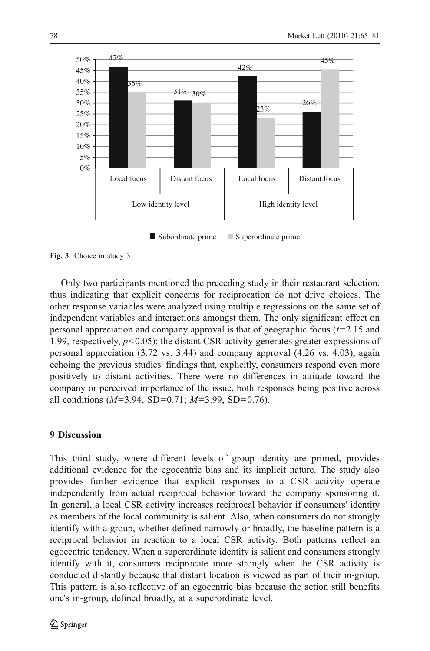<span id="page-13-0"></span>

Fig. 3 Choice in study 3

Only two participants mentioned the preceding study in their restaurant selection, thus indicating that explicit concerns for reciprocation do not drive choices. The other response variables were analyzed using multiple regressions on the same set of independent variables and interactions amongst them. The only significant effect on personal appreciation and company approval is that of geographic focus  $(t=2.15$  and 1.99, respectively,  $p<0.05$ ): the distant CSR activity generates greater expressions of personal appreciation (3.72 vs. 3.44) and company approval (4.26 vs. 4.03), again echoing the previous studies' findings that, explicitly, consumers respond even more positively to distant activities. There were no differences in attitude toward the company or perceived importance of the issue, both responses being positive across all conditions  $(M=3.94, SD=0.71; M=3.99, SD=0.76)$ .

## 9 Discussion

This third study, where different levels of group identity are primed, provides additional evidence for the egocentric bias and its implicit nature. The study also provides further evidence that explicit responses to a CSR activity operate independently from actual reciprocal behavior toward the company sponsoring it. In general, a local CSR activity increases reciprocal behavior if consumers' identity as members of the local community is salient. Also, when consumers do not strongly identify with a group, whether defined narrowly or broadly, the baseline pattern is a reciprocal behavior in reaction to a local CSR activity. Both patterns reflect an egocentric tendency. When a superordinate identity is salient and consumers strongly identify with it, consumers reciprocate more strongly when the CSR activity is conducted distantly because that distant location is viewed as part of their in-group. This pattern is also reflective of an egocentric bias because the action still benefits one's in-group, defined broadly, at a superordinate level.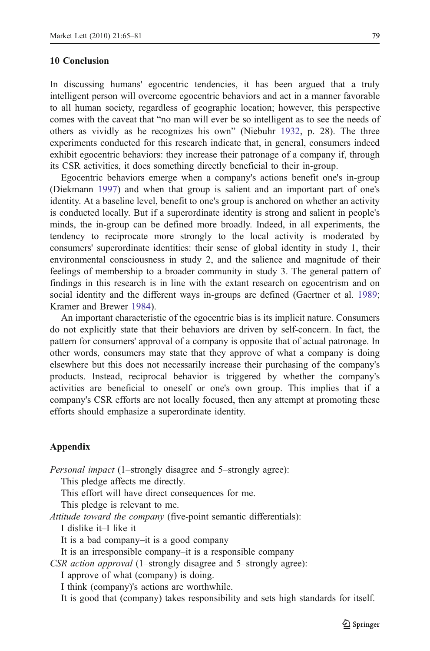# <span id="page-14-0"></span>10 Conclusion

In discussing humans' egocentric tendencies, it has been argued that a truly intelligent person will overcome egocentric behaviors and act in a manner favorable to all human society, regardless of geographic location; however, this perspective comes with the caveat that "no man will ever be so intelligent as to see the needs of others as vividly as he recognizes his own" (Niebuhr [1932,](#page-16-0) p. 28). The three experiments conducted for this research indicate that, in general, consumers indeed exhibit egocentric behaviors: they increase their patronage of a company if, through its CSR activities, it does something directly beneficial to their in-group.

Egocentric behaviors emerge when a company's actions benefit one's in-group (Diekmann [1997\)](#page-15-0) and when that group is salient and an important part of one's identity. At a baseline level, benefit to one's group is anchored on whether an activity is conducted locally. But if a superordinate identity is strong and salient in people's minds, the in-group can be defined more broadly. Indeed, in all experiments, the tendency to reciprocate more strongly to the local activity is moderated by consumers' superordinate identities: their sense of global identity in study 1, their environmental consciousness in study 2, and the salience and magnitude of their feelings of membership to a broader community in study 3. The general pattern of findings in this research is in line with the extant research on egocentrism and on social identity and the different ways in-groups are defined (Gaertner et al. [1989;](#page-15-0) Kramer and Brewer [1984](#page-16-0)).

An important characteristic of the egocentric bias is its implicit nature. Consumers do not explicitly state that their behaviors are driven by self-concern. In fact, the pattern for consumers' approval of a company is opposite that of actual patronage. In other words, consumers may state that they approve of what a company is doing elsewhere but this does not necessarily increase their purchasing of the company's products. Instead, reciprocal behavior is triggered by whether the company's activities are beneficial to oneself or one's own group. This implies that if a company's CSR efforts are not locally focused, then any attempt at promoting these efforts should emphasize a superordinate identity.

### Appendix

Personal impact (1–strongly disagree and 5–strongly agree):

This pledge affects me directly.

This effort will have direct consequences for me.

This pledge is relevant to me.

Attitude toward the company (five-point semantic differentials):

I dislike it–I like it

It is a bad company–it is a good company

It is an irresponsible company–it is a responsible company

CSR action approval (1–strongly disagree and 5–strongly agree):

I approve of what (company) is doing.

I think (company)'s actions are worthwhile.

It is good that (company) takes responsibility and sets high standards for itself.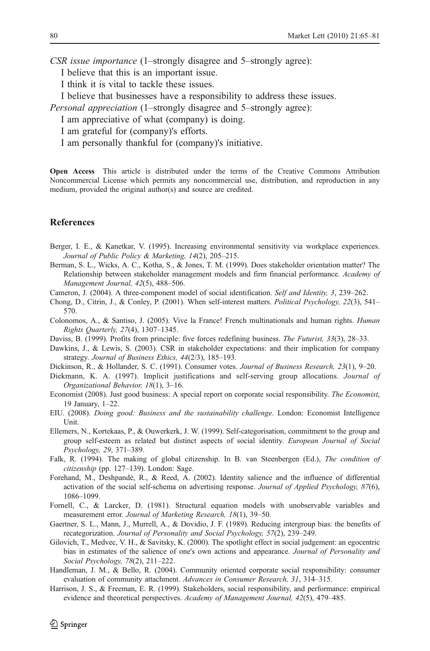<span id="page-15-0"></span>CSR issue importance (1–strongly disagree and 5–strongly agree):

- I believe that this is an important issue.
- I think it is vital to tackle these issues.

I believe that businesses have a responsibility to address these issues.

Personal appreciation (1–strongly disagree and 5–strongly agree):

- I am appreciative of what (company) is doing.
- I am grateful for (company)'s efforts.
- I am personally thankful for (company)'s initiative.

Open Access This article is distributed under the terms of the Creative Commons Attribution Noncommercial License which permits any noncommercial use, distribution, and reproduction in any medium, provided the original author(s) and source are credited.

### References

- Berger, I. E., & Kanetkar, V. (1995). Increasing environmental sensitivity via workplace experiences. Journal of Public Policy & Marketing, 14(2), 205–215.
- Berman, S. L., Wicks, A. C., Kotha, S., & Jones, T. M. (1999). Does stakeholder orientation matter? The Relationship between stakeholder management models and firm financial performance. Academy of Management Journal, 42(5), 488–506.
- Cameron, J. (2004). A three-component model of social identification. Self and Identity, 3, 239–262.
- Chong, D., Citrin, J., & Conley, P. (2001). When self-interest matters. Political Psychology, 22(3), 541– 570.
- Colonomos, A., & Santiso, J. (2005). Vive la France! French multinationals and human rights. Human Rights Quarterly, 27(4), 1307–1345.
- Daviss, B. (1999). Profits from principle: five forces redefining business. The Futurist, 33(3), 28–33.
- Dawkins, J., & Lewis, S. (2003). CSR in stakeholder expectations: and their implication for company strategy. Journal of Business Ethics, 44(2/3), 185–193.
- Dickinson, R., & Hollander, S. C. (1991). Consumer votes. Journal of Business Research, 23(1), 9-20.
- Diekmann, K. A. (1997). Implicit justifications and self-serving group allocations. Journal of Organizational Behavior, 18(1), 3–16.
- Economist (2008). Just good business: A special report on corporate social responsibility. The Economist, 19 January, 1–22.
- EIU. (2008). Doing good: Business and the sustainability challenge. London: Economist Intelligence Unit.
- Ellemers, N., Kortekaas, P., & Ouwerkerk, J. W. (1999). Self-categorisation, commitment to the group and group self-esteem as related but distinct aspects of social identity. European Journal of Social Psychology, 29, 371–389.
- Falk, R. (1994). The making of global citizenship. In B. van Steenbergen (Ed.), The condition of citizenship (pp. 127–139). London: Sage.
- Forehand, M., Deshpandé, R., & Reed, A. (2002). Identity salience and the influence of differential activation of the social self-schema on advertising response. Journal of Applied Psychology, 87(6), 1086–1099.
- Fornell, C., & Larcker, D. (1981). Structural equation models with unobservable variables and measurement error. Journal of Marketing Research, 18(1), 39–50.
- Gaertner, S. L., Mann, J., Murrell, A., & Dovidio, J. F. (1989). Reducing intergroup bias: the benefits of recategorization. Journal of Personality and Social Psychology, 57(2), 239–249.
- Gilovich, T., Medvec, V. H., & Savitsky, K. (2000). The spotlight effect in social judgement: an egocentric bias in estimates of the salience of one's own actions and appearance. Journal of Personality and Social Psychology, 78(2), 211–222.
- Handleman, J. M., & Bello, R. (2004). Community oriented corporate social responsibility: consumer evaluation of community attachment. Advances in Consumer Research, 31, 314–315.
- Harrison, J. S., & Freeman, E. R. (1999). Stakeholders, social responsibility, and performance: empirical evidence and theoretical perspectives. Academy of Management Journal, 42(5), 479–485.